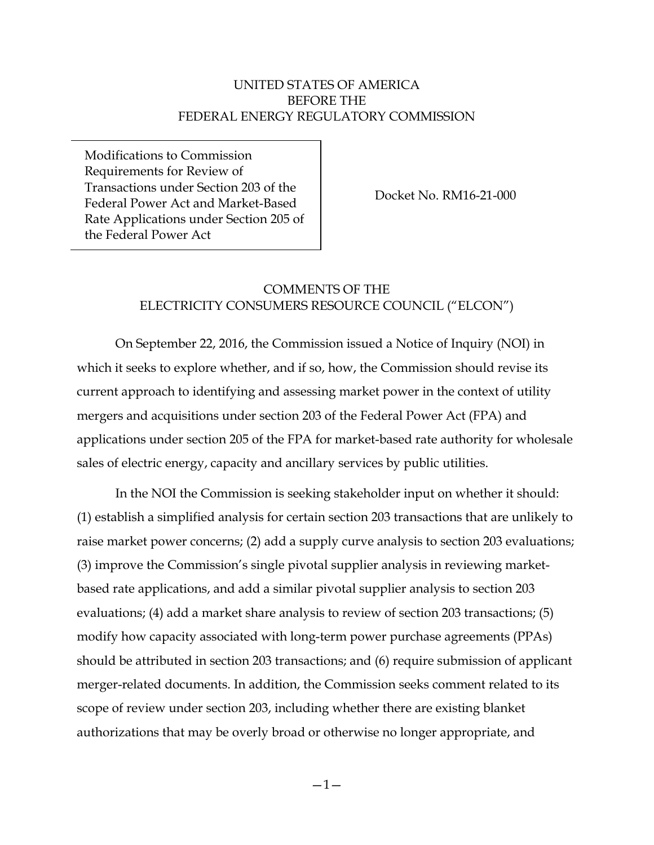### UNITED STATES OF AMERICA BEFORE THE FEDERAL ENERGY REGULATORY COMMISSION

Modifications to Commission Requirements for Review of Transactions under Section 203 of the Federal Power Act and Market-Based Rate Applications under Section 205 of the Federal Power Act

Docket No. RM16-21-000

# COMMENTS OF THE ELECTRICITY CONSUMERS RESOURCE COUNCIL ("ELCON")

On September 22, 2016, the Commission issued a Notice of Inquiry (NOI) in which it seeks to explore whether, and if so, how, the Commission should revise its current approach to identifying and assessing market power in the context of utility mergers and acquisitions under section 203 of the Federal Power Act (FPA) and applications under section 205 of the FPA for market-based rate authority for wholesale sales of electric energy, capacity and ancillary services by public utilities.

In the NOI the Commission is seeking stakeholder input on whether it should: (1) establish a simplified analysis for certain section 203 transactions that are unlikely to raise market power concerns; (2) add a supply curve analysis to section 203 evaluations; (3) improve the Commission's single pivotal supplier analysis in reviewing marketbased rate applications, and add a similar pivotal supplier analysis to section 203 evaluations; (4) add a market share analysis to review of section 203 transactions; (5) modify how capacity associated with long-term power purchase agreements (PPAs) should be attributed in section 203 transactions; and (6) require submission of applicant merger-related documents. In addition, the Commission seeks comment related to its scope of review under section 203, including whether there are existing blanket authorizations that may be overly broad or otherwise no longer appropriate, and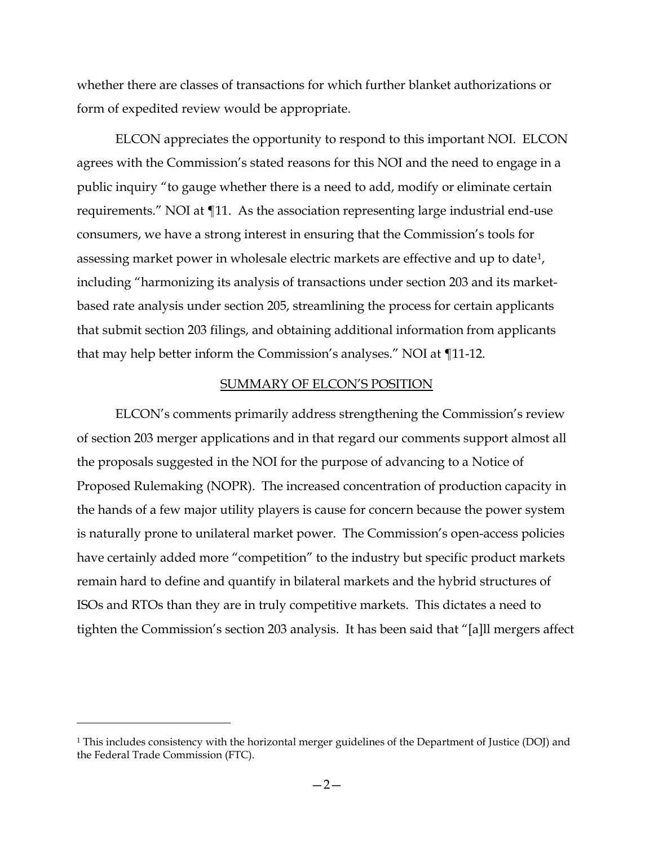whether there are classes of transactions for which further blanket authorizations or form of expedited review would be appropriate.

ELCON appreciates the opportunity to respond to this important NOI. ELCON agrees with the Commission's stated reasons for this NOI and the need to engage in a public inquiry "to gauge whether there is a need to add, modify or eliminate certain requirements." NOI at ¶11. As the association representing large industrial end-use consumers, we have a strong interest in ensuring that the Commission's tools for assessing market power in wholesale electric markets are effective and up to date[1](#page-1-0), including "harmonizing its analysis of transactions under section 203 and its marketbased rate analysis under section 205, streamlining the process for certain applicants that submit section 203 filings, and obtaining additional information from applicants that may help better inform the Commission's analyses." NOI at ¶11-12.

#### SUMMARY OF ELCON'S POSITION

ELCON's comments primarily address strengthening the Commission's review of section 203 merger applications and in that regard our comments support almost all the proposals suggested in the NOI for the purpose of advancing to a Notice of Proposed Rulemaking (NOPR). The increased concentration of production capacity in the hands of a few major utility players is cause for concern because the power system is naturally prone to unilateral market power. The Commission's open-access policies have certainly added more "competition" to the industry but specific product markets remain hard to define and quantify in bilateral markets and the hybrid structures of ISOs and RTOs than they are in truly competitive markets. This dictates a need to tighten the Commission's section 203 analysis. It has been said that "[a]ll mergers affect

 $\overline{\phantom{a}}$ 

<span id="page-1-0"></span><sup>1</sup> This includes consistency with the horizontal merger guidelines of the Department of Justice (DOJ) and the Federal Trade Commission (FTC).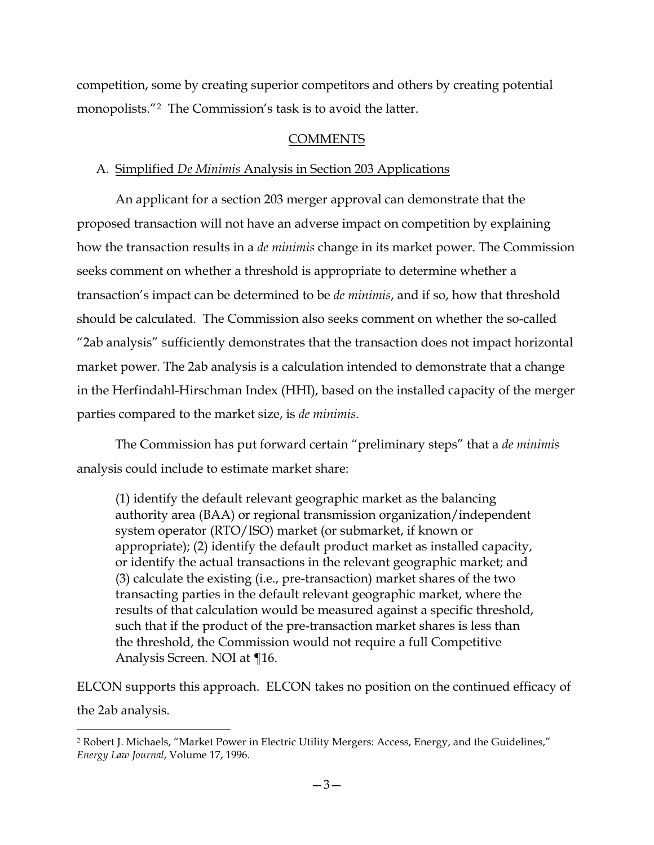competition, some by creating superior competitors and others by creating potential monopolists."[2](#page-2-0) The Commission's task is to avoid the latter.

# COMMENTS

### A. Simplified *De Minimis* Analysis in Section 203 Applications

An applicant for a section 203 merger approval can demonstrate that the proposed transaction will not have an adverse impact on competition by explaining how the transaction results in a *de minimis* change in its market power. The Commission seeks comment on whether a threshold is appropriate to determine whether a transaction's impact can be determined to be *de minimis*, and if so, how that threshold should be calculated. The Commission also seeks comment on whether the so-called "2ab analysis" sufficiently demonstrates that the transaction does not impact horizontal market power. The 2ab analysis is a calculation intended to demonstrate that a change in the Herfindahl-Hirschman Index (HHI), based on the installed capacity of the merger parties compared to the market size, is *de minimis*.

The Commission has put forward certain "preliminary steps" that a *de minimis* analysis could include to estimate market share:

(1) identify the default relevant geographic market as the balancing authority area (BAA) or regional transmission organization/independent system operator (RTO/ISO) market (or submarket, if known or appropriate); (2) identify the default product market as installed capacity, or identify the actual transactions in the relevant geographic market; and (3) calculate the existing (i.e., pre-transaction) market shares of the two transacting parties in the default relevant geographic market, where the results of that calculation would be measured against a specific threshold, such that if the product of the pre-transaction market shares is less than the threshold, the Commission would not require a full Competitive Analysis Screen. NOI at ¶16.

ELCON supports this approach. ELCON takes no position on the continued efficacy of the 2ab analysis.

 $\overline{\phantom{a}}$ 

<span id="page-2-0"></span><sup>2</sup> Robert J. Michaels, "Market Power in Electric Utility Mergers: Access, Energy, and the Guidelines," *Energy Law Journal*, Volume 17, 1996.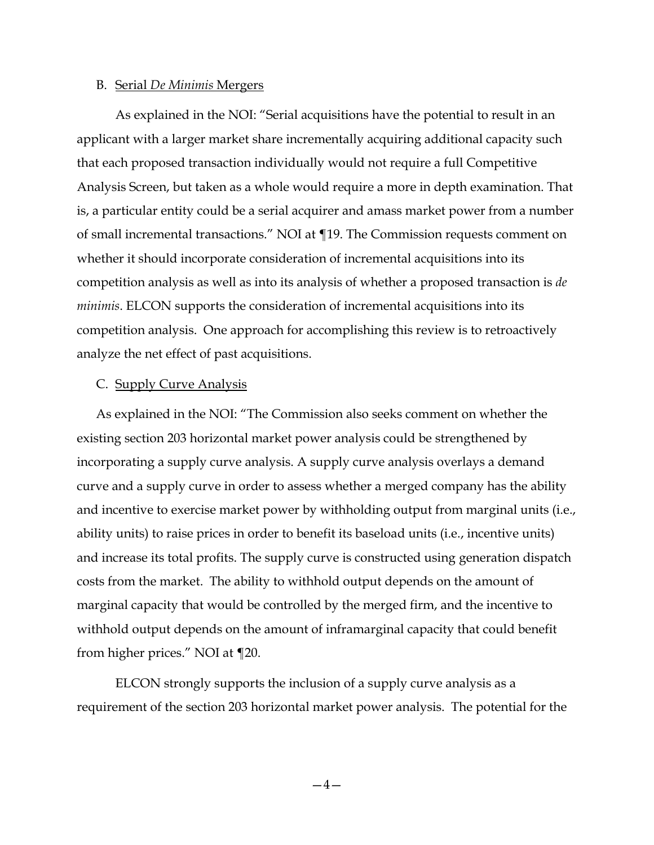#### B. Serial *De Minimis* Mergers

As explained in the NOI: "Serial acquisitions have the potential to result in an applicant with a larger market share incrementally acquiring additional capacity such that each proposed transaction individually would not require a full Competitive Analysis Screen, but taken as a whole would require a more in depth examination. That is, a particular entity could be a serial acquirer and amass market power from a number of small incremental transactions." NOI at ¶19. The Commission requests comment on whether it should incorporate consideration of incremental acquisitions into its competition analysis as well as into its analysis of whether a proposed transaction is *de minimis*. ELCON supports the consideration of incremental acquisitions into its competition analysis. One approach for accomplishing this review is to retroactively analyze the net effect of past acquisitions.

#### C. Supply Curve Analysis

As explained in the NOI: "The Commission also seeks comment on whether the existing section 203 horizontal market power analysis could be strengthened by incorporating a supply curve analysis. A supply curve analysis overlays a demand curve and a supply curve in order to assess whether a merged company has the ability and incentive to exercise market power by withholding output from marginal units (i.e., ability units) to raise prices in order to benefit its baseload units (i.e., incentive units) and increase its total profits. The supply curve is constructed using generation dispatch costs from the market. The ability to withhold output depends on the amount of marginal capacity that would be controlled by the merged firm, and the incentive to withhold output depends on the amount of inframarginal capacity that could benefit from higher prices." NOI at ¶20.

ELCON strongly supports the inclusion of a supply curve analysis as a requirement of the section 203 horizontal market power analysis. The potential for the

 $-4-$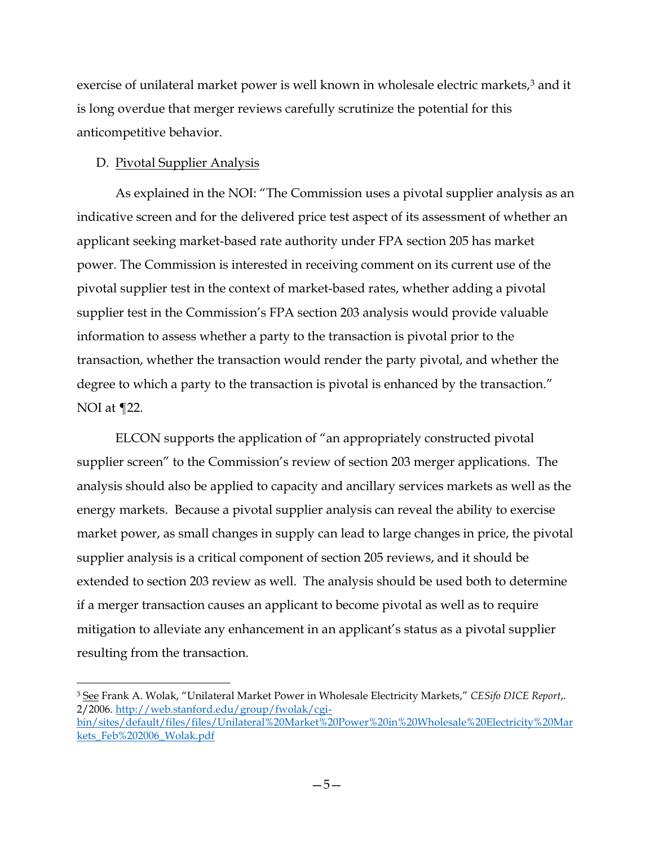exercise of unilateral market power is well known in wholesale electric markets,<sup>[3](#page-4-0)</sup> and it is long overdue that merger reviews carefully scrutinize the potential for this anticompetitive behavior.

# D. Pivotal Supplier Analysis

As explained in the NOI: "The Commission uses a pivotal supplier analysis as an indicative screen and for the delivered price test aspect of its assessment of whether an applicant seeking market-based rate authority under FPA section 205 has market power. The Commission is interested in receiving comment on its current use of the pivotal supplier test in the context of market-based rates, whether adding a pivotal supplier test in the Commission's FPA section 203 analysis would provide valuable information to assess whether a party to the transaction is pivotal prior to the transaction, whether the transaction would render the party pivotal, and whether the degree to which a party to the transaction is pivotal is enhanced by the transaction." NOI at  $\P$ 22.

ELCON supports the application of "an appropriately constructed pivotal supplier screen" to the Commission's review of section 203 merger applications. The analysis should also be applied to capacity and ancillary services markets as well as the energy markets. Because a pivotal supplier analysis can reveal the ability to exercise market power, as small changes in supply can lead to large changes in price, the pivotal supplier analysis is a critical component of section 205 reviews, and it should be extended to section 203 review as well. The analysis should be used both to determine if a merger transaction causes an applicant to become pivotal as well as to require mitigation to alleviate any enhancement in an applicant's status as a pivotal supplier resulting from the transaction.

<span id="page-4-0"></span>l <sup>3</sup> See Frank A. Wolak, "Unilateral Market Power in Wholesale Electricity Markets," *CESifo DICE Report*,. 2/2006. [http://web.stanford.edu/group/fwolak/cgi-](http://web.stanford.edu/group/fwolak/cgi-bin/sites/default/files/files/Unilateral%20Market%20Power%20in%20Wholesale%20Electricity%20Markets_Feb%202006_Wolak.pdf)

[bin/sites/default/files/files/Unilateral%20Market%20Power%20in%20Wholesale%20Electricity%20Mar](http://web.stanford.edu/group/fwolak/cgi-bin/sites/default/files/files/Unilateral%20Market%20Power%20in%20Wholesale%20Electricity%20Markets_Feb%202006_Wolak.pdf) [kets\\_Feb%202006\\_Wolak.pdf](http://web.stanford.edu/group/fwolak/cgi-bin/sites/default/files/files/Unilateral%20Market%20Power%20in%20Wholesale%20Electricity%20Markets_Feb%202006_Wolak.pdf)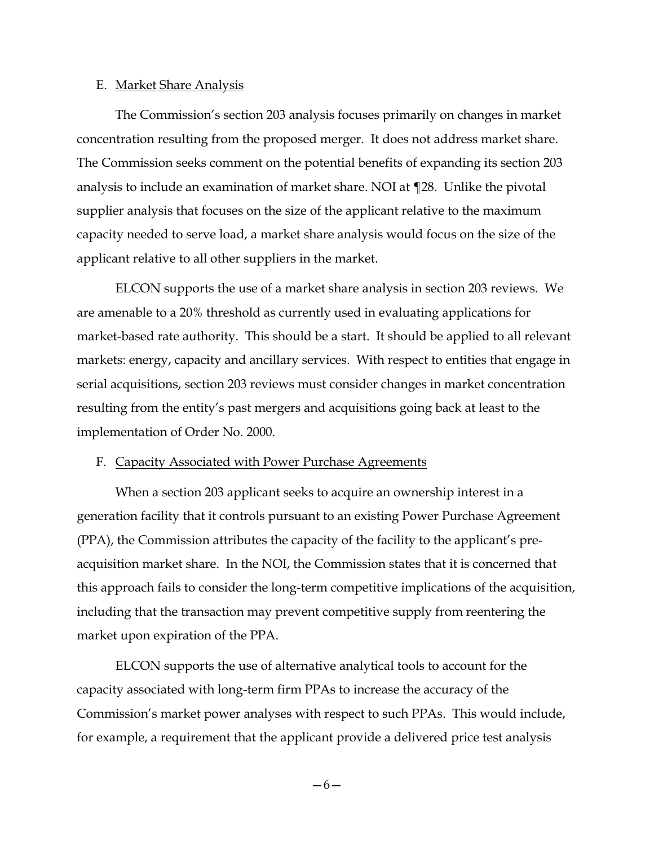#### E. Market Share Analysis

The Commission's section 203 analysis focuses primarily on changes in market concentration resulting from the proposed merger. It does not address market share. The Commission seeks comment on the potential benefits of expanding its section 203 analysis to include an examination of market share. NOI at ¶28. Unlike the pivotal supplier analysis that focuses on the size of the applicant relative to the maximum capacity needed to serve load, a market share analysis would focus on the size of the applicant relative to all other suppliers in the market.

ELCON supports the use of a market share analysis in section 203 reviews. We are amenable to a 20% threshold as currently used in evaluating applications for market-based rate authority. This should be a start. It should be applied to all relevant markets: energy, capacity and ancillary services. With respect to entities that engage in serial acquisitions, section 203 reviews must consider changes in market concentration resulting from the entity's past mergers and acquisitions going back at least to the implementation of Order No. 2000.

#### F. Capacity Associated with Power Purchase Agreements

When a section 203 applicant seeks to acquire an ownership interest in a generation facility that it controls pursuant to an existing Power Purchase Agreement (PPA), the Commission attributes the capacity of the facility to the applicant's preacquisition market share. In the NOI, the Commission states that it is concerned that this approach fails to consider the long-term competitive implications of the acquisition, including that the transaction may prevent competitive supply from reentering the market upon expiration of the PPA.

ELCON supports the use of alternative analytical tools to account for the capacity associated with long-term firm PPAs to increase the accuracy of the Commission's market power analyses with respect to such PPAs. This would include, for example, a requirement that the applicant provide a delivered price test analysis

—6—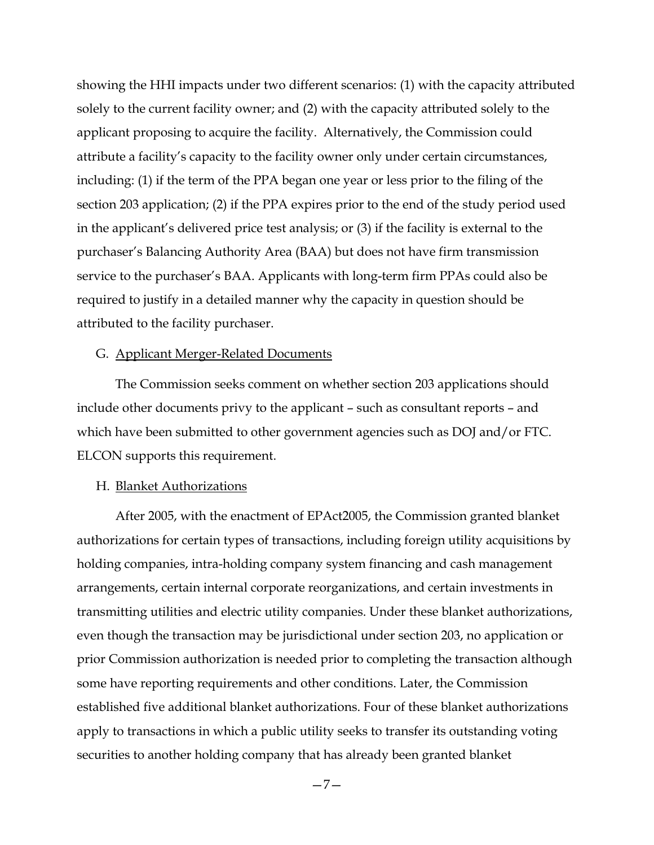showing the HHI impacts under two different scenarios: (1) with the capacity attributed solely to the current facility owner; and (2) with the capacity attributed solely to the applicant proposing to acquire the facility. Alternatively, the Commission could attribute a facility's capacity to the facility owner only under certain circumstances, including: (1) if the term of the PPA began one year or less prior to the filing of the section 203 application; (2) if the PPA expires prior to the end of the study period used in the applicant's delivered price test analysis; or (3) if the facility is external to the purchaser's Balancing Authority Area (BAA) but does not have firm transmission service to the purchaser's BAA. Applicants with long-term firm PPAs could also be required to justify in a detailed manner why the capacity in question should be attributed to the facility purchaser.

#### G. Applicant Merger-Related Documents

The Commission seeks comment on whether section 203 applications should include other documents privy to the applicant – such as consultant reports – and which have been submitted to other government agencies such as DOJ and/or FTC. ELCON supports this requirement.

#### H. Blanket Authorizations

After 2005, with the enactment of EPAct2005, the Commission granted blanket authorizations for certain types of transactions, including foreign utility acquisitions by holding companies, intra-holding company system financing and cash management arrangements, certain internal corporate reorganizations, and certain investments in transmitting utilities and electric utility companies. Under these blanket authorizations, even though the transaction may be jurisdictional under section 203, no application or prior Commission authorization is needed prior to completing the transaction although some have reporting requirements and other conditions. Later, the Commission established five additional blanket authorizations. Four of these blanket authorizations apply to transactions in which a public utility seeks to transfer its outstanding voting securities to another holding company that has already been granted blanket

—7—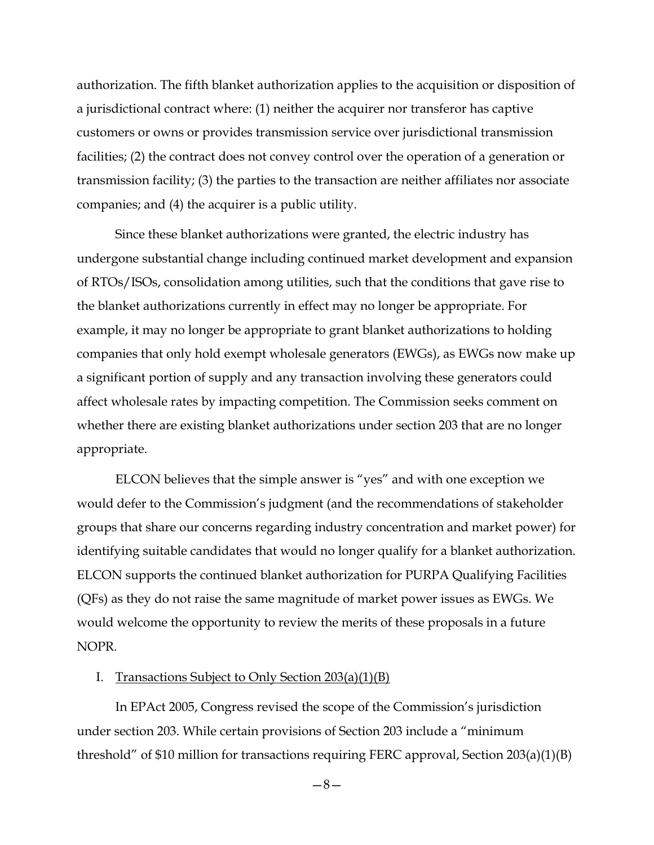authorization. The fifth blanket authorization applies to the acquisition or disposition of a jurisdictional contract where: (1) neither the acquirer nor transferor has captive customers or owns or provides transmission service over jurisdictional transmission facilities; (2) the contract does not convey control over the operation of a generation or transmission facility; (3) the parties to the transaction are neither affiliates nor associate companies; and (4) the acquirer is a public utility.

Since these blanket authorizations were granted, the electric industry has undergone substantial change including continued market development and expansion of RTOs/ISOs, consolidation among utilities, such that the conditions that gave rise to the blanket authorizations currently in effect may no longer be appropriate. For example, it may no longer be appropriate to grant blanket authorizations to holding companies that only hold exempt wholesale generators (EWGs), as EWGs now make up a significant portion of supply and any transaction involving these generators could affect wholesale rates by impacting competition. The Commission seeks comment on whether there are existing blanket authorizations under section 203 that are no longer appropriate.

ELCON believes that the simple answer is "yes" and with one exception we would defer to the Commission's judgment (and the recommendations of stakeholder groups that share our concerns regarding industry concentration and market power) for identifying suitable candidates that would no longer qualify for a blanket authorization. ELCON supports the continued blanket authorization for PURPA Qualifying Facilities (QFs) as they do not raise the same magnitude of market power issues as EWGs. We would welcome the opportunity to review the merits of these proposals in a future NOPR.

#### I. Transactions Subject to Only Section 203(a)(1)(B)

In EPAct 2005, Congress revised the scope of the Commission's jurisdiction under section 203. While certain provisions of Section 203 include a "minimum threshold" of \$10 million for transactions requiring FERC approval, Section 203(a)(1)(B)

—8—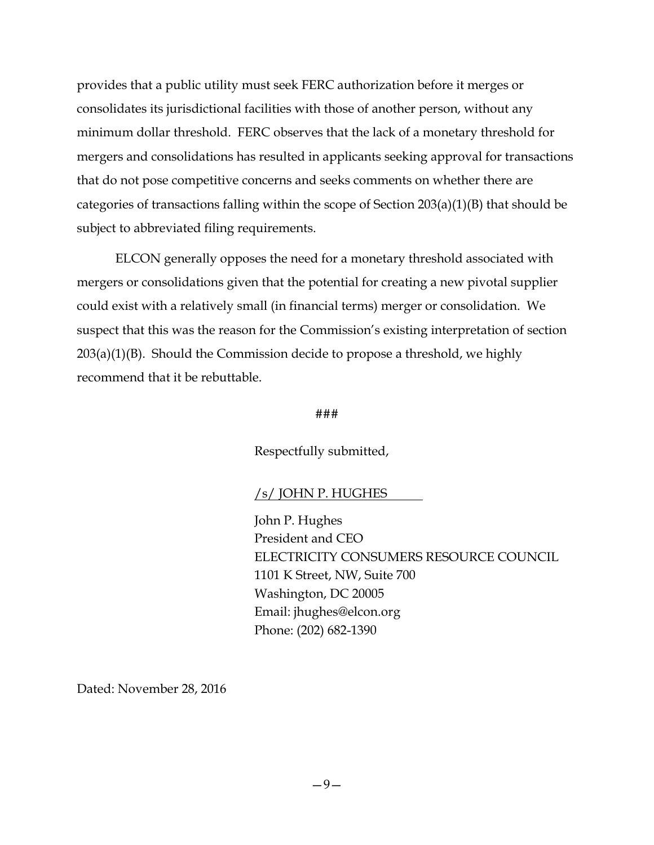provides that a public utility must seek FERC authorization before it merges or consolidates its jurisdictional facilities with those of another person, without any minimum dollar threshold. FERC observes that the lack of a monetary threshold for mergers and consolidations has resulted in applicants seeking approval for transactions that do not pose competitive concerns and seeks comments on whether there are categories of transactions falling within the scope of Section 203(a)(1)(B) that should be subject to abbreviated filing requirements.

ELCON generally opposes the need for a monetary threshold associated with mergers or consolidations given that the potential for creating a new pivotal supplier could exist with a relatively small (in financial terms) merger or consolidation. We suspect that this was the reason for the Commission's existing interpretation of section 203(a)(1)(B). Should the Commission decide to propose a threshold, we highly recommend that it be rebuttable.

#### ###

Respectfully submitted,

### /s/ JOHN P. HUGHES

John P. Hughes President and CEO ELECTRICITY CONSUMERS RESOURCE COUNCIL 1101 K Street, NW, Suite 700 Washington, DC 20005 Email: jhughes@elcon.org Phone: (202) 682-1390

Dated: November 28, 2016